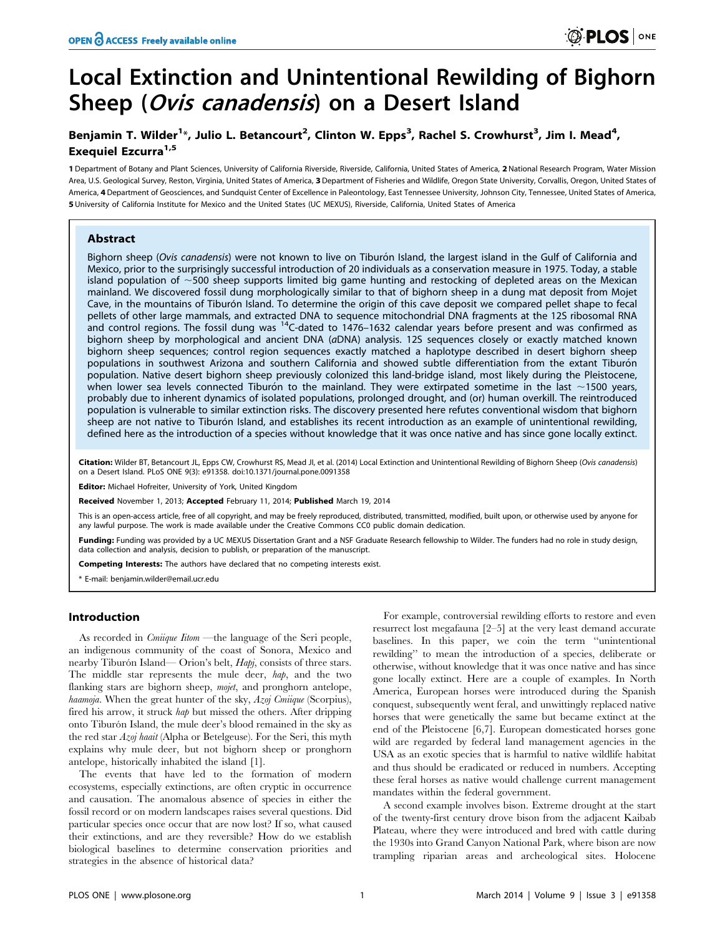# Benjamin T. Wilder<sup>1</sup>\*, Julio L. Betancourt<sup>2</sup>, Clinton W. Epps<sup>3</sup>, Rachel S. Crowhurst<sup>3</sup>, Jim I. Mead<sup>4</sup>, Exequiel Ezcurra<sup>1,5</sup>

1 Department of Botany and Plant Sciences, University of California Riverside, Riverside, California, United States of America, 2 National Research Program, Water Mission Area, U.S. Geological Survey, Reston, Virginia, United States of America, 3 Department of Fisheries and Wildlife, Oregon State University, Corvallis, Oregon, United States of America, 4 Department of Geosciences, and Sundquist Center of Excellence in Paleontology, East Tennessee University, Johnson City, Tennessee, United States of America, 5 University of California Institute for Mexico and the United States (UC MEXUS), Riverside, California, United States of America

# Abstract

Bighorn sheep (Ovis canadensis) were not known to live on Tiburón Island, the largest island in the Gulf of California and Mexico, prior to the surprisingly successful introduction of 20 individuals as a conservation measure in 1975. Today, a stable island population of  $\sim$ 500 sheep supports limited big game hunting and restocking of depleted areas on the Mexican mainland. We discovered fossil dung morphologically similar to that of bighorn sheep in a dung mat deposit from Mojet Cave, in the mountains of Tiburón Island. To determine the origin of this cave deposit we compared pellet shape to fecal pellets of other large mammals, and extracted DNA to sequence mitochondrial DNA fragments at the 12S ribosomal RNA and control regions. The fossil dung was  $14C$ -dated to 1476–1632 calendar years before present and was confirmed as bighorn sheep by morphological and ancient DNA (aDNA) analysis. 12S sequences closely or exactly matched known bighorn sheep sequences; control region sequences exactly matched a haplotype described in desert bighorn sheep populations in southwest Arizona and southern California and showed subtle differentiation from the extant Tiburón population. Native desert bighorn sheep previously colonized this land-bridge island, most likely during the Pleistocene, when lower sea levels connected Tiburón to the mainland. They were extirpated sometime in the last  $\sim$ 1500 years, probably due to inherent dynamics of isolated populations, prolonged drought, and (or) human overkill. The reintroduced population is vulnerable to similar extinction risks. The discovery presented here refutes conventional wisdom that bighorn sheep are not native to Tiburón Island, and establishes its recent introduction as an example of unintentional rewilding, defined here as the introduction of a species without knowledge that it was once native and has since gone locally extinct.

Citation: Wilder BT, Betancourt JL, Epps CW, Crowhurst RS, Mead JI, et al. (2014) Local Extinction and Unintentional Rewilding of Bighorn Sheep (Ovis canadensis) on a Desert Island. PLoS ONE 9(3): e91358. doi:10.1371/journal.pone.0091358

Editor: Michael Hofreiter, University of York, United Kingdom

Received November 1, 2013; Accepted February 11, 2014; Published March 19, 2014

This is an open-access article, free of all copyright, and may be freely reproduced, distributed, transmitted, modified, built upon, or otherwise used by anyone for any lawful purpose. The work is made available under the Creative Commons CC0 public domain dedication.

Funding: Funding was provided by a UC MEXUS Dissertation Grant and a NSF Graduate Research fellowship to Wilder. The funders had no role in study design, data collection and analysis, decision to publish, or preparation of the manuscript.

Competing Interests: The authors have declared that no competing interests exist.

\* E-mail: benjamin.wilder@email.ucr.edu

# Introduction

As recorded in *Cmiique Iitom* —the language of the Seri people, an indigenous community of the coast of Sonora, Mexico and nearby Tiburón Island— Orion's belt,  $Hapj$ , consists of three stars. The middle star represents the mule deer, hap, and the two flanking stars are bighorn sheep, *mojet*, and pronghorn antelope, haamoja. When the great hunter of the sky,  $Azq$  Cmiique (Scorpius), fired his arrow, it struck hap but missed the others. After dripping onto Tiburón Island, the mule deer's blood remained in the sky as the red star  $Azoj$  haait (Alpha or Betelgeuse). For the Seri, this myth explains why mule deer, but not bighorn sheep or pronghorn antelope, historically inhabited the island [1].

The events that have led to the formation of modern ecosystems, especially extinctions, are often cryptic in occurrence and causation. The anomalous absence of species in either the fossil record or on modern landscapes raises several questions. Did particular species once occur that are now lost? If so, what caused their extinctions, and are they reversible? How do we establish biological baselines to determine conservation priorities and strategies in the absence of historical data?

For example, controversial rewilding efforts to restore and even resurrect lost megafauna [2–5] at the very least demand accurate baselines. In this paper, we coin the term ''unintentional rewilding'' to mean the introduction of a species, deliberate or otherwise, without knowledge that it was once native and has since gone locally extinct. Here are a couple of examples. In North America, European horses were introduced during the Spanish conquest, subsequently went feral, and unwittingly replaced native horses that were genetically the same but became extinct at the end of the Pleistocene [6,7]. European domesticated horses gone wild are regarded by federal land management agencies in the USA as an exotic species that is harmful to native wildlife habitat and thus should be eradicated or reduced in numbers. Accepting these feral horses as native would challenge current management mandates within the federal government.

A second example involves bison. Extreme drought at the start of the twenty-first century drove bison from the adjacent Kaibab Plateau, where they were introduced and bred with cattle during the 1930s into Grand Canyon National Park, where bison are now trampling riparian areas and archeological sites. Holocene

**DEOS** ONE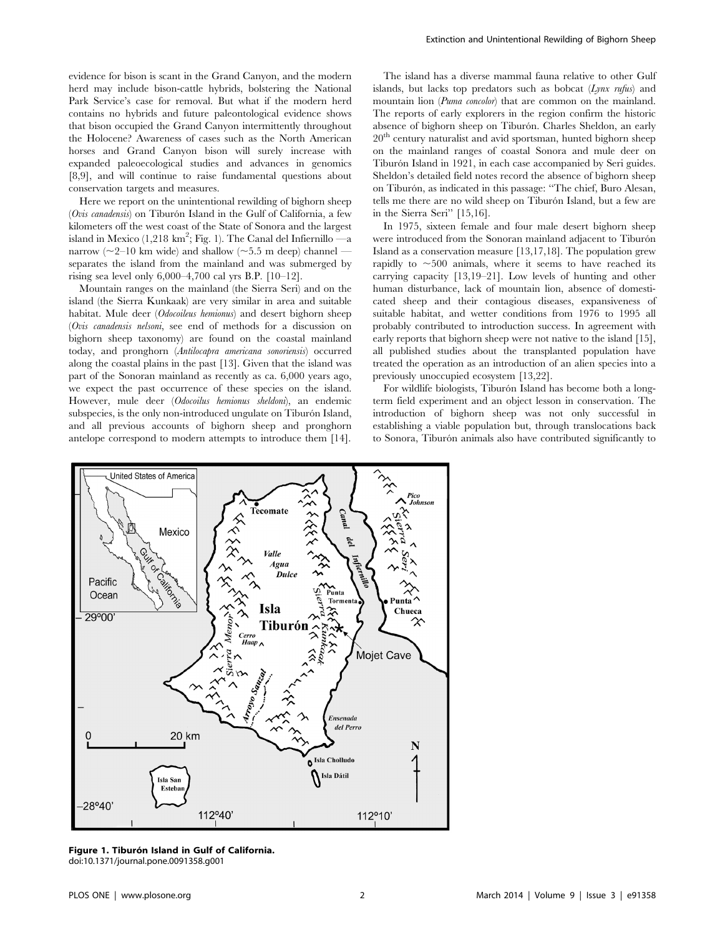evidence for bison is scant in the Grand Canyon, and the modern herd may include bison-cattle hybrids, bolstering the National Park Service's case for removal. But what if the modern herd contains no hybrids and future paleontological evidence shows that bison occupied the Grand Canyon intermittently throughout the Holocene? Awareness of cases such as the North American horses and Grand Canyon bison will surely increase with expanded paleoecological studies and advances in genomics [8,9], and will continue to raise fundamental questions about conservation targets and measures.

Here we report on the unintentional rewilding of bighorn sheep  $(Ovis \ can adensity)$  on Tiburón Island in the Gulf of California, a few kilometers off the west coast of the State of Sonora and the largest island in Mexico (1,218 km $^2$ ; Fig. 1). The Canal del Infiernillo —a narrow ( $\sim$ 2–10 km wide) and shallow ( $\sim$ 5.5 m deep) channel separates the island from the mainland and was submerged by rising sea level only 6,000–4,700 cal yrs B.P. [10–12].

Mountain ranges on the mainland (the Sierra Seri) and on the island (the Sierra Kunkaak) are very similar in area and suitable habitat. Mule deer (Odocoileus hemionus) and desert bighorn sheep (Ovis canadensis nelsoni, see end of methods for a discussion on bighorn sheep taxonomy) are found on the coastal mainland today, and pronghorn (Antilocapra americana sonoriensis) occurred along the coastal plains in the past [13]. Given that the island was part of the Sonoran mainland as recently as ca. 6,000 years ago, we expect the past occurrence of these species on the island. However, mule deer (Odocoilus hemionus sheldoni), an endemic subspecies, is the only non-introduced ungulate on Tiburón Island, and all previous accounts of bighorn sheep and pronghorn antelope correspond to modern attempts to introduce them [14].

The island has a diverse mammal fauna relative to other Gulf islands, but lacks top predators such as bobcat (Lynx rufus) and mountain lion (Puma concolor) that are common on the mainland. The reports of early explorers in the region confirm the historic absence of bighorn sheep on Tiburón. Charles Sheldon, an early 20th century naturalist and avid sportsman, hunted bighorn sheep on the mainland ranges of coastal Sonora and mule deer on Tiburón Island in 1921, in each case accompanied by Seri guides. Sheldon's detailed field notes record the absence of bighorn sheep on Tiburón, as indicated in this passage: "The chief, Buro Alesan, tells me there are no wild sheep on Tiburón Island, but a few are in the Sierra Seri'' [15,16].

In 1975, sixteen female and four male desert bighorn sheep were introduced from the Sonoran mainland adjacent to Tiburón Island as a conservation measure [13,17,18]. The population grew rapidly to  $\sim$  500 animals, where it seems to have reached its carrying capacity [13,19–21]. Low levels of hunting and other human disturbance, lack of mountain lion, absence of domesticated sheep and their contagious diseases, expansiveness of suitable habitat, and wetter conditions from 1976 to 1995 all probably contributed to introduction success. In agreement with early reports that bighorn sheep were not native to the island [15], all published studies about the transplanted population have treated the operation as an introduction of an alien species into a previously unoccupied ecosystem [13,22].

For wildlife biologists, Tiburón Island has become both a longterm field experiment and an object lesson in conservation. The introduction of bighorn sheep was not only successful in establishing a viable population but, through translocations back to Sonora, Tiburón animals also have contributed significantly to



Figure 1. Tiburón Island in Gulf of California. doi:10.1371/journal.pone.0091358.g001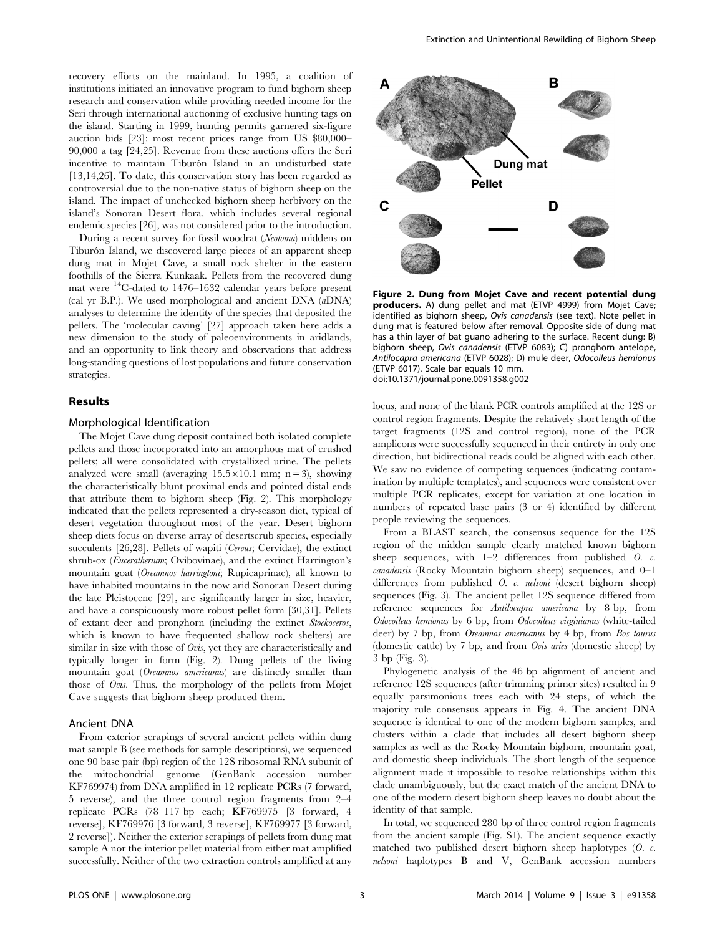recovery efforts on the mainland. In 1995, a coalition of institutions initiated an innovative program to fund bighorn sheep research and conservation while providing needed income for the Seri through international auctioning of exclusive hunting tags on the island. Starting in 1999, hunting permits garnered six-figure auction bids [23]; most recent prices range from US \$80,000– 90,000 a tag [24,25]. Revenue from these auctions offers the Seri incentive to maintain Tiburón Island in an undisturbed state [13,14,26]. To date, this conservation story has been regarded as controversial due to the non-native status of bighorn sheep on the island. The impact of unchecked bighorn sheep herbivory on the island's Sonoran Desert flora, which includes several regional endemic species [26], was not considered prior to the introduction.

During a recent survey for fossil woodrat (Neotoma) middens on Tiburón Island, we discovered large pieces of an apparent sheep dung mat in Mojet Cave, a small rock shelter in the eastern foothills of the Sierra Kunkaak. Pellets from the recovered dung mat were  $^{14}$ C-dated to 1476–1632 calendar years before present (cal yr B.P.). We used morphological and ancient DNA (aDNA) analyses to determine the identity of the species that deposited the pellets. The 'molecular caving' [27] approach taken here adds a new dimension to the study of paleoenvironments in aridlands, and an opportunity to link theory and observations that address long-standing questions of lost populations and future conservation strategies.

#### Results

# Morphological Identification

The Mojet Cave dung deposit contained both isolated complete pellets and those incorporated into an amorphous mat of crushed pellets; all were consolidated with crystallized urine. The pellets analyzed were small (averaging  $15.5 \times 10.1$  mm; n = 3), showing the characteristically blunt proximal ends and pointed distal ends that attribute them to bighorn sheep (Fig. 2). This morphology indicated that the pellets represented a dry-season diet, typical of desert vegetation throughout most of the year. Desert bighorn sheep diets focus on diverse array of desertscrub species, especially succulents [26,28]. Pellets of wapiti (Cervus; Cervidae), the extinct shrub-ox (*Euceratherium*; Ovibovinae), and the extinct Harrington's mountain goat (Oreamnos harringtoni; Rupicaprinae), all known to have inhabited mountains in the now arid Sonoran Desert during the late Pleistocene [29], are significantly larger in size, heavier, and have a conspicuously more robust pellet form [30,31]. Pellets of extant deer and pronghorn (including the extinct Stockoceros, which is known to have frequented shallow rock shelters) are similar in size with those of *Ovis*, yet they are characteristically and typically longer in form (Fig. 2). Dung pellets of the living mountain goat (Oreamnos americanus) are distinctly smaller than those of Ovis. Thus, the morphology of the pellets from Mojet Cave suggests that bighorn sheep produced them.

# Ancient DNA

From exterior scrapings of several ancient pellets within dung mat sample B (see methods for sample descriptions), we sequenced one 90 base pair (bp) region of the 12S ribosomal RNA subunit of the mitochondrial genome (GenBank accession number KF769974) from DNA amplified in 12 replicate PCRs (7 forward, 5 reverse), and the three control region fragments from 2–4 replicate PCRs (78–117 bp each; KF769975 [3 forward, 4 reverse], KF769976 [3 forward, 3 reverse], KF769977 [3 forward, 2 reverse]). Neither the exterior scrapings of pellets from dung mat sample A nor the interior pellet material from either mat amplified successfully. Neither of the two extraction controls amplified at any



Figure 2. Dung from Mojet Cave and recent potential dung producers. A) dung pellet and mat (ETVP 4999) from Mojet Cave; identified as bighorn sheep, Ovis canadensis (see text). Note pellet in dung mat is featured below after removal. Opposite side of dung mat has a thin layer of bat guano adhering to the surface. Recent dung: B) bighorn sheep, Ovis canadensis (ETVP 6083); C) pronghorn antelope, Antilocapra americana (ETVP 6028); D) mule deer, Odocoileus hemionus (ETVP 6017). Scale bar equals 10 mm. doi:10.1371/journal.pone.0091358.g002

locus, and none of the blank PCR controls amplified at the 12S or control region fragments. Despite the relatively short length of the target fragments (12S and control region), none of the PCR amplicons were successfully sequenced in their entirety in only one direction, but bidirectional reads could be aligned with each other. We saw no evidence of competing sequences (indicating contamination by multiple templates), and sequences were consistent over multiple PCR replicates, except for variation at one location in numbers of repeated base pairs (3 or 4) identified by different people reviewing the sequences.

From a BLAST search, the consensus sequence for the 12S region of the midden sample clearly matched known bighorn sheep sequences, with  $1-2$  differences from published O. c. canadensis (Rocky Mountain bighorn sheep) sequences, and 0–1 differences from published *O. c. nelsoni* (desert bighorn sheep) sequences (Fig. 3). The ancient pellet 12S sequence differed from reference sequences for Antilocapra americana by 8 bp, from Odocoileus hemionus by 6 bp, from Odocoileus virginianus (white-tailed deer) by 7 bp, from Oreamnos americanus by 4 bp, from Bos taurus (domestic cattle) by 7 bp, and from Ovis aries (domestic sheep) by 3 bp (Fig. 3).

Phylogenetic analysis of the 46 bp alignment of ancient and reference 12S sequences (after trimming primer sites) resulted in 9 equally parsimonious trees each with 24 steps, of which the majority rule consensus appears in Fig. 4. The ancient DNA sequence is identical to one of the modern bighorn samples, and clusters within a clade that includes all desert bighorn sheep samples as well as the Rocky Mountain bighorn, mountain goat, and domestic sheep individuals. The short length of the sequence alignment made it impossible to resolve relationships within this clade unambiguously, but the exact match of the ancient DNA to one of the modern desert bighorn sheep leaves no doubt about the identity of that sample.

In total, we sequenced 280 bp of three control region fragments from the ancient sample (Fig. S1). The ancient sequence exactly matched two published desert bighorn sheep haplotypes (O. c. nelsoni haplotypes B and V, GenBank accession numbers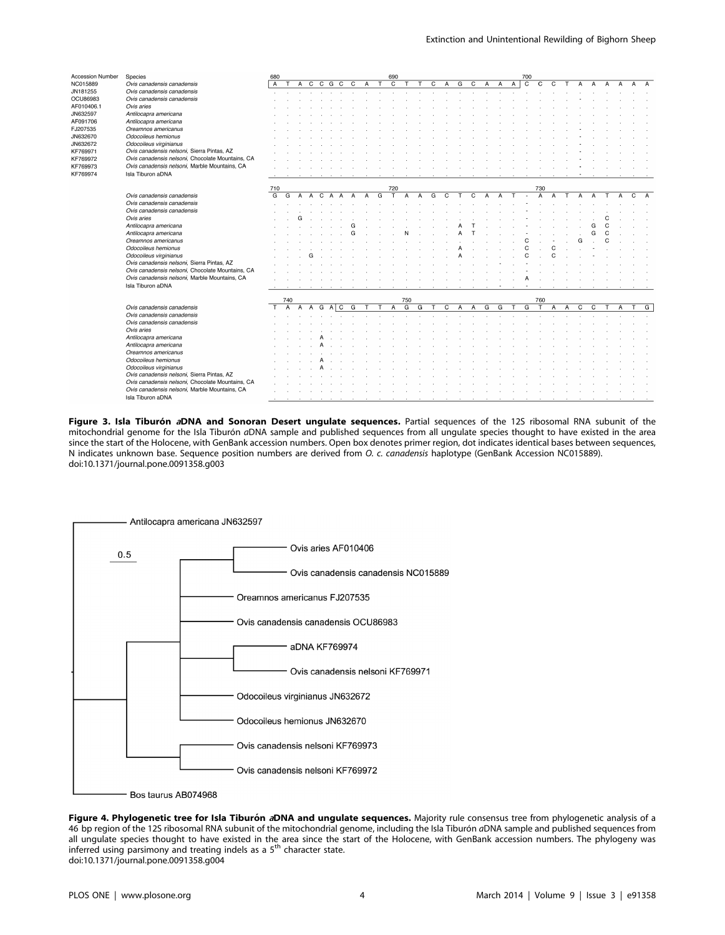| <b>Accession Number</b> | Species                                          | 680 |                       |              |              |             |     |                |    |              |   | 690          |          |   |   |                |                |    |   |   |     | 700 |              |                |   |   |   |   |                |              |                |
|-------------------------|--------------------------------------------------|-----|-----------------------|--------------|--------------|-------------|-----|----------------|----|--------------|---|--------------|----------|---|---|----------------|----------------|----|---|---|-----|-----|--------------|----------------|---|---|---|---|----------------|--------------|----------------|
| NC015889                | Ovis canadensis canadensis                       | A   |                       | $\mathsf{A}$ |              | $C$ $C$ $G$ |     | $\overline{c}$ | C. | $\mathsf{A}$ | T | C            |          |   | C | $\overline{A}$ | G              | C  | A | A | A   | C   | C            | C              |   |   |   | A |                |              | A              |
| JN181255                | Ovis canadensis canadensis                       |     |                       |              |              |             |     |                |    |              |   |              |          |   |   |                |                |    |   |   |     |     |              |                |   |   |   |   |                |              |                |
| OCU86983                | Ovis canadensis canadensis                       |     |                       |              |              |             |     |                |    |              |   |              |          |   |   |                |                |    |   |   |     |     |              |                |   |   |   |   |                |              |                |
| AF010406.1              | Ovis aries                                       |     |                       |              |              |             |     |                |    |              |   |              |          |   |   |                |                |    |   |   |     |     |              |                |   |   |   |   |                |              |                |
| JN632597                | Antilocapra americana                            |     |                       |              |              |             |     |                |    |              |   |              |          |   |   |                |                |    |   |   |     |     |              |                |   |   |   |   |                |              |                |
| AF091706                | Antilocapra americana                            |     |                       |              |              |             |     |                |    |              |   |              |          |   |   |                |                |    |   |   |     |     |              |                |   |   |   |   |                |              |                |
| FJ207535                | Oreamnos americanus                              |     |                       |              |              |             |     |                |    |              |   |              |          |   |   |                |                |    |   |   |     |     |              |                |   |   |   |   |                |              |                |
| JN632670                | Odocoileus hemionus                              |     |                       |              |              |             |     |                |    |              |   |              |          |   |   |                |                |    |   |   |     |     |              |                |   |   |   |   |                |              |                |
| JN632672                | Odocoileus virginianus                           |     |                       |              |              |             |     |                |    |              |   |              |          |   |   |                |                |    |   |   |     |     |              |                |   |   |   |   |                |              |                |
| KF769971                | Ovis canadensis nelsoni, Sierra Pintas, AZ       |     |                       |              |              |             |     |                |    |              |   |              |          |   |   |                |                |    |   |   |     |     |              |                |   |   |   |   |                |              |                |
| KF769972                | Ovis canadensis nelsoni. Chocolate Mountains. CA |     |                       |              |              |             |     |                |    |              |   |              |          |   |   |                |                |    |   |   |     |     |              |                |   |   |   |   |                |              |                |
| KF769973                | Ovis canadensis nelsoni, Marble Mountains, CA    |     |                       |              |              |             |     |                |    |              |   |              |          |   |   |                |                |    |   |   |     |     |              |                |   |   |   |   |                |              |                |
| KF769974                | Isla Tiburon aDNA                                |     |                       |              |              |             |     |                |    |              |   |              |          |   |   |                |                |    |   |   |     |     |              |                |   |   |   |   |                |              |                |
|                         |                                                  | 710 |                       |              |              |             |     |                |    |              |   | 720          |          |   |   |                |                |    |   |   | 730 |     |              |                |   |   |   |   |                |              |                |
|                         | Ovis canadensis canadensis                       | G   | G                     | A            | $\mathbf{A}$ | C           | A   | A              | A  | A            | G | T            | A        |   | G | $\mathsf{C}$   |                | C. | Δ | A |     |     | $\mathsf{A}$ | $\overline{A}$ |   | Δ |   |   |                | $\mathsf{C}$ | A              |
|                         | Ovis canadensis canadensis                       |     |                       |              |              |             |     |                |    |              |   |              |          |   |   |                |                |    |   |   |     |     |              |                |   |   |   |   |                |              |                |
|                         | Ovis canadensis canadensis                       |     |                       |              |              |             |     |                |    |              |   |              |          |   |   |                |                |    |   |   |     |     |              |                |   |   |   |   |                |              |                |
|                         | Ovis aries                                       |     |                       |              |              |             |     |                |    |              |   |              |          |   |   |                |                |    |   |   |     |     |              |                |   |   |   | Ċ |                |              |                |
|                         | Antilocapra americana                            |     |                       |              |              |             |     |                | G  |              |   |              |          |   |   |                |                |    |   |   |     |     |              |                |   |   | G | C |                |              |                |
|                         | Antilocapra americana                            |     |                       |              |              |             |     |                |    |              |   |              |          |   |   |                |                |    |   |   |     |     |              |                |   |   | G |   |                |              |                |
|                         | Oreamnos americanus                              |     |                       |              |              |             |     |                |    |              |   |              |          |   |   |                |                |    |   |   |     |     |              |                |   | G |   |   |                |              |                |
|                         | Odocoileus hemionus                              |     |                       |              |              |             |     |                |    |              |   |              |          |   |   |                |                |    |   |   |     |     |              | C              |   |   |   |   |                |              |                |
|                         | Odocoileus virginianus                           |     |                       |              | G            |             |     |                |    |              |   |              |          |   |   |                |                |    |   |   |     |     |              |                |   |   |   |   |                |              |                |
|                         | Ovis canadensis nelsoni, Sierra Pintas, AZ       |     |                       |              |              |             |     |                |    |              |   |              |          |   |   |                |                |    |   |   |     |     |              |                |   |   |   |   |                |              |                |
|                         | Ovis canadensis nelsoni, Chocolate Mountains, CA |     |                       |              |              |             |     |                |    |              |   |              |          |   |   |                |                |    |   |   |     |     |              |                |   |   |   |   |                |              |                |
|                         | Ovis canadensis nelsoni, Marble Mountains, CA    |     |                       |              |              |             |     |                |    |              |   |              |          |   |   |                |                |    |   |   |     |     |              |                |   |   |   |   |                |              |                |
|                         | Isla Tiburon aDNA                                |     |                       |              |              |             |     |                |    |              |   |              |          |   |   |                |                |    |   |   |     |     |              |                |   |   |   |   |                |              |                |
|                         |                                                  |     |                       |              |              |             |     |                |    |              |   |              |          |   |   |                |                |    |   |   |     |     |              |                |   |   |   |   |                |              |                |
|                         | Ovis canadensis canadensis                       |     | 740<br>$\overline{A}$ | А            | A            | G           | A C |                | G  |              |   | $\mathsf{A}$ | 750<br>G | G |   | C              | $\overline{A}$ | A  | G | G |     | G   | 760          | $\overline{A}$ | A | C | C |   | $\overline{A}$ |              | $\overline{G}$ |
|                         | Ovis canadensis canadensis                       |     |                       |              |              |             |     |                |    |              |   |              |          |   |   |                |                |    |   |   |     |     |              |                |   |   |   |   |                |              |                |
|                         | Ovis canadensis canadensis                       |     |                       |              |              |             |     |                |    |              |   |              |          |   |   |                |                |    |   |   |     |     |              |                |   |   |   |   |                |              |                |
|                         | Ovis aries                                       |     |                       |              |              |             |     |                |    |              |   |              |          |   |   |                |                |    |   |   |     |     |              |                |   |   |   |   |                |              |                |
|                         | Antilocapra americana                            |     |                       |              |              |             |     |                |    |              |   |              |          |   |   |                |                |    |   |   |     |     |              |                |   |   |   |   |                |              |                |
|                         | Antilocapra americana                            |     |                       |              |              |             |     |                |    |              |   |              |          |   |   |                |                |    |   |   |     |     |              |                |   |   |   |   |                |              |                |
|                         | Oreamnos americanus                              |     |                       |              |              |             |     |                |    |              |   |              |          |   |   |                |                |    |   |   |     |     |              |                |   |   |   |   |                |              |                |
|                         | Odocoileus hemionus                              |     |                       |              |              |             |     |                |    |              |   |              |          |   |   |                |                |    |   |   |     |     |              |                |   |   |   |   |                |              |                |
|                         | Odocoileus virginianus                           |     |                       |              |              |             |     |                |    |              |   |              |          |   |   |                |                |    |   |   |     |     |              |                |   |   |   |   |                |              |                |
|                         | Ovis canadensis nelsoni, Sierra Pintas, AZ       |     |                       |              |              |             |     |                |    |              |   |              |          |   |   |                |                |    |   |   |     |     |              |                |   |   |   |   |                |              |                |
|                         | Ovis canadensis nelsoni, Chocolate Mountains, CA |     |                       |              |              |             |     |                |    |              |   |              |          |   |   |                |                |    |   |   |     |     |              |                |   |   |   |   |                |              |                |
|                         | Ovis canadensis nelsoni. Marble Mountains, CA    |     |                       |              |              |             |     |                |    |              |   |              |          |   |   |                |                |    |   |   |     |     |              |                |   |   |   |   |                |              |                |
|                         | Isla Tiburon aDNA                                |     |                       |              |              |             |     |                |    |              |   |              |          |   |   |                |                |    |   |   |     |     |              |                |   |   |   |   |                |              |                |
|                         |                                                  |     |                       |              |              |             |     |                |    |              |   |              |          |   |   |                |                |    |   |   |     |     |              |                |   |   |   |   |                |              |                |

Figure 3. Isla Tiburón aDNA and Sonoran Desert ungulate sequences. Partial sequences of the 12S ribosomal RNA subunit of the mitochondrial genome for the Isla Tiburón aDNA sample and published sequences from all ungulate species thought to have existed in the area since the start of the Holocene, with GenBank accession numbers. Open box denotes primer region, dot indicates identical bases between sequences, N indicates unknown base. Sequence position numbers are derived from O. c. canadensis haplotype (GenBank Accession NC015889). doi:10.1371/journal.pone.0091358.g003



Figure 4. Phylogenetic tree for Isla Tiburón aDNA and ungulate sequences. Majority rule consensus tree from phylogenetic analysis of a 46 bp region of the 12S ribosomal RNA subunit of the mitochondrial genome, including the Isla Tiburón aDNA sample and published sequences from all ungulate species thought to have existed in the area since the start of the Holocene, with GenBank accession numbers. The phylogeny was inferred using parsimony and treating indels as a 5<sup>th</sup> character state. doi:10.1371/journal.pone.0091358.g004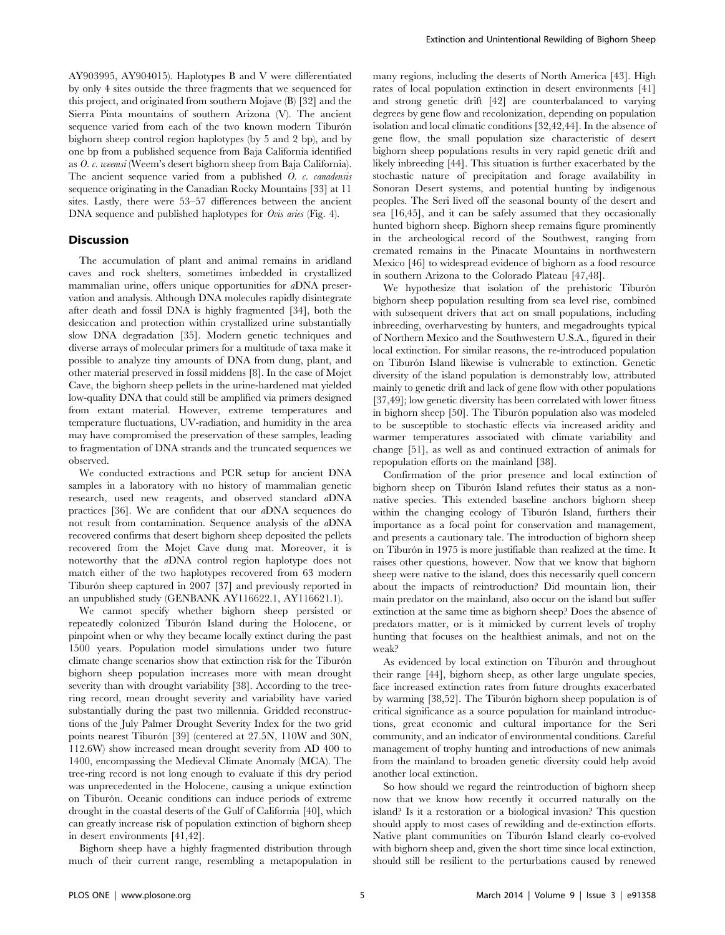AY903995, AY904015). Haplotypes B and V were differentiated by only 4 sites outside the three fragments that we sequenced for this project, and originated from southern Mojave (B) [32] and the Sierra Pinta mountains of southern Arizona (V). The ancient sequence varied from each of the two known modern Tiburón bighorn sheep control region haplotypes (by 5 and 2 bp), and by one bp from a published sequence from Baja California identified as O. c. weemsi (Weem's desert bighorn sheep from Baja California). The ancient sequence varied from a published O. c. canadensis sequence originating in the Canadian Rocky Mountains [33] at 11 sites. Lastly, there were 53–57 differences between the ancient DNA sequence and published haplotypes for *Ovis aries* (Fig. 4).

# Discussion

The accumulation of plant and animal remains in aridland caves and rock shelters, sometimes imbedded in crystallized mammalian urine, offers unique opportunities for aDNA preservation and analysis. Although DNA molecules rapidly disintegrate after death and fossil DNA is highly fragmented [34], both the desiccation and protection within crystallized urine substantially slow DNA degradation [35]. Modern genetic techniques and diverse arrays of molecular primers for a multitude of taxa make it possible to analyze tiny amounts of DNA from dung, plant, and other material preserved in fossil middens [8]. In the case of Mojet Cave, the bighorn sheep pellets in the urine-hardened mat yielded low-quality DNA that could still be amplified via primers designed from extant material. However, extreme temperatures and temperature fluctuations, UV-radiation, and humidity in the area may have compromised the preservation of these samples, leading to fragmentation of DNA strands and the truncated sequences we observed.

We conducted extractions and PCR setup for ancient DNA samples in a laboratory with no history of mammalian genetic research, used new reagents, and observed standard aDNA practices [36]. We are confident that our aDNA sequences do not result from contamination. Sequence analysis of the aDNA recovered confirms that desert bighorn sheep deposited the pellets recovered from the Mojet Cave dung mat. Moreover, it is noteworthy that the aDNA control region haplotype does not match either of the two haplotypes recovered from 63 modern Tiburón sheep captured in 2007 [37] and previously reported in an unpublished study (GENBANK AY116622.1, AY116621.1).

We cannot specify whether bighorn sheep persisted or repeatedly colonized Tiburón Island during the Holocene, or pinpoint when or why they became locally extinct during the past 1500 years. Population model simulations under two future climate change scenarios show that extinction risk for the Tiburón bighorn sheep population increases more with mean drought severity than with drought variability [38]. According to the treering record, mean drought severity and variability have varied substantially during the past two millennia. Gridded reconstructions of the July Palmer Drought Severity Index for the two grid points nearest Tiburón [39] (centered at 27.5N, 110W and 30N, 112.6W) show increased mean drought severity from AD 400 to 1400, encompassing the Medieval Climate Anomaly (MCA). The tree-ring record is not long enough to evaluate if this dry period was unprecedented in the Holocene, causing a unique extinction on Tiburón. Oceanic conditions can induce periods of extreme drought in the coastal deserts of the Gulf of California [40], which can greatly increase risk of population extinction of bighorn sheep in desert environments [41,42].

Bighorn sheep have a highly fragmented distribution through much of their current range, resembling a metapopulation in many regions, including the deserts of North America [43]. High rates of local population extinction in desert environments [41] and strong genetic drift [42] are counterbalanced to varying degrees by gene flow and recolonization, depending on population isolation and local climatic conditions [32,42,44]. In the absence of gene flow, the small population size characteristic of desert bighorn sheep populations results in very rapid genetic drift and likely inbreeding [44]. This situation is further exacerbated by the stochastic nature of precipitation and forage availability in Sonoran Desert systems, and potential hunting by indigenous peoples. The Seri lived off the seasonal bounty of the desert and sea [16,45], and it can be safely assumed that they occasionally hunted bighorn sheep. Bighorn sheep remains figure prominently in the archeological record of the Southwest, ranging from cremated remains in the Pinacate Mountains in northwestern Mexico [46] to widespread evidence of bighorn as a food resource in southern Arizona to the Colorado Plateau [47,48].

We hypothesize that isolation of the prehistoric Tiburón bighorn sheep population resulting from sea level rise, combined with subsequent drivers that act on small populations, including inbreeding, overharvesting by hunters, and megadroughts typical of Northern Mexico and the Southwestern U.S.A., figured in their local extinction. For similar reasons, the re-introduced population on Tiburón Island likewise is vulnerable to extinction. Genetic diversity of the island population is demonstrably low, attributed mainly to genetic drift and lack of gene flow with other populations [37,49]; low genetic diversity has been correlated with lower fitness in bighorn sheep [50]. The Tiburón population also was modeled to be susceptible to stochastic effects via increased aridity and warmer temperatures associated with climate variability and change [51], as well as and continued extraction of animals for repopulation efforts on the mainland [38].

Confirmation of the prior presence and local extinction of bighorn sheep on Tiburón Island refutes their status as a nonnative species. This extended baseline anchors bighorn sheep within the changing ecology of Tiburón Island, furthers their importance as a focal point for conservation and management, and presents a cautionary tale. The introduction of bighorn sheep on Tiburón in 1975 is more justifiable than realized at the time. It raises other questions, however. Now that we know that bighorn sheep were native to the island, does this necessarily quell concern about the impacts of reintroduction? Did mountain lion, their main predator on the mainland, also occur on the island but suffer extinction at the same time as bighorn sheep? Does the absence of predators matter, or is it mimicked by current levels of trophy hunting that focuses on the healthiest animals, and not on the weak?

As evidenced by local extinction on Tiburón and throughout their range [44], bighorn sheep, as other large ungulate species, face increased extinction rates from future droughts exacerbated by warming [38,52]. The Tiburón bighorn sheep population is of critical significance as a source population for mainland introductions, great economic and cultural importance for the Seri community, and an indicator of environmental conditions. Careful management of trophy hunting and introductions of new animals from the mainland to broaden genetic diversity could help avoid another local extinction.

So how should we regard the reintroduction of bighorn sheep now that we know how recently it occurred naturally on the island? Is it a restoration or a biological invasion? This question should apply to most cases of rewilding and de-extinction efforts. Native plant communities on Tiburón Island clearly co-evolved with bighorn sheep and, given the short time since local extinction, should still be resilient to the perturbations caused by renewed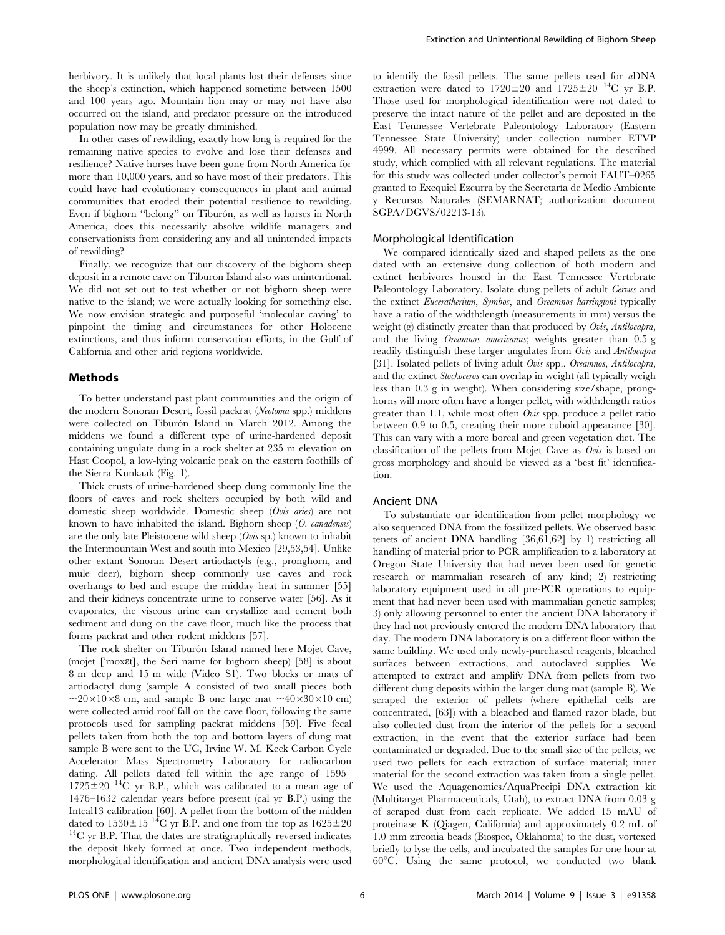herbivory. It is unlikely that local plants lost their defenses since the sheep's extinction, which happened sometime between 1500 and 100 years ago. Mountain lion may or may not have also occurred on the island, and predator pressure on the introduced population now may be greatly diminished.

In other cases of rewilding, exactly how long is required for the remaining native species to evolve and lose their defenses and resilience? Native horses have been gone from North America for more than 10,000 years, and so have most of their predators. This could have had evolutionary consequences in plant and animal communities that eroded their potential resilience to rewilding. Even if bighorn "belong" on Tiburón, as well as horses in North America, does this necessarily absolve wildlife managers and conservationists from considering any and all unintended impacts of rewilding?

Finally, we recognize that our discovery of the bighorn sheep deposit in a remote cave on Tiburon Island also was unintentional. We did not set out to test whether or not bighorn sheep were native to the island; we were actually looking for something else. We now envision strategic and purposeful 'molecular caving' to pinpoint the timing and circumstances for other Holocene extinctions, and thus inform conservation efforts, in the Gulf of California and other arid regions worldwide.

### Methods

To better understand past plant communities and the origin of the modern Sonoran Desert, fossil packrat (Neotoma spp.) middens were collected on Tiburón Island in March 2012. Among the middens we found a different type of urine-hardened deposit containing ungulate dung in a rock shelter at 235 m elevation on Hast Coopol, a low-lying volcanic peak on the eastern foothills of the Sierra Kunkaak (Fig. 1).

Thick crusts of urine-hardened sheep dung commonly line the floors of caves and rock shelters occupied by both wild and domestic sheep worldwide. Domestic sheep (Ovis aries) are not known to have inhabited the island. Bighorn sheep (O. canadensis) are the only late Pleistocene wild sheep  $(Ovis sp.)$  known to inhabit the Intermountain West and south into Mexico [29,53,54]. Unlike other extant Sonoran Desert artiodactyls (e.g., pronghorn, and mule deer), bighorn sheep commonly use caves and rock overhangs to bed and escape the midday heat in summer [55] and their kidneys concentrate urine to conserve water [56]. As it evaporates, the viscous urine can crystallize and cement both sediment and dung on the cave floor, much like the process that forms packrat and other rodent middens [57].

The rock shelter on Tiburón Island named here Mojet Cave, (mojet ['moxet], the Seri name for bighorn sheep) [58] is about 8 m deep and 15 m wide (Video S1). Two blocks or mats of artiodactyl dung (sample A consisted of two small pieces both  $\sim$ 20×10×8 cm, and sample B one large mat  $\sim$ 40×30×10 cm) were collected amid roof fall on the cave floor, following the same protocols used for sampling packrat middens [59]. Five fecal pellets taken from both the top and bottom layers of dung mat sample B were sent to the UC, Irvine W. M. Keck Carbon Cycle Accelerator Mass Spectrometry Laboratory for radiocarbon dating. All pellets dated fell within the age range of 1595–  $1725 \pm 20^{-14}$ C yr B.P., which was calibrated to a mean age of 1476–1632 calendar years before present (cal yr B.P.) using the Intcal13 calibration [60]. A pellet from the bottom of the midden dated to 1530 $\pm$ 15<sup>14</sup>C yr B.P. and one from the top as 1625 $\pm$ 20<sup>14</sup>C yr B.P. That the dates are stratigraphically reversed indicates the deposit likely formed at once. Two independent methods, morphological identification and ancient DNA analysis were used

to identify the fossil pellets. The same pellets used for aDNA extraction were dated to  $1720 \pm 20$  and  $1725 \pm 20$  <sup>14</sup>C yr B.P. Those used for morphological identification were not dated to preserve the intact nature of the pellet and are deposited in the East Tennessee Vertebrate Paleontology Laboratory (Eastern Tennessee State University) under collection number ETVP 4999. All necessary permits were obtained for the described study, which complied with all relevant regulations. The material for this study was collected under collector's permit FAUT–0265 granted to Exequiel Ezcurra by the Secretaría de Medio Ambiente y Recursos Naturales (SEMARNAT; authorization document SGPA/DGVS/02213-13).

#### Morphological Identification

We compared identically sized and shaped pellets as the one dated with an extensive dung collection of both modern and extinct herbivores housed in the East Tennessee Vertebrate Paleontology Laboratory. Isolate dung pellets of adult Cervus and the extinct Euceratherium, Symbos, and Oreamnos harringtoni typically have a ratio of the width:length (measurements in mm) versus the weight (g) distinctly greater than that produced by Ovis, Antilocapra, and the living Oreamnos americanus; weights greater than 0.5 g readily distinguish these larger ungulates from Ovis and Antilocapra [31]. Isolated pellets of living adult Ovis spp., Oreannos, Antilocapra, and the extinct Stockoceros can overlap in weight (all typically weigh less than 0.3 g in weight). When considering size/shape, pronghorns will more often have a longer pellet, with width:length ratios greater than 1.1, while most often  $Ovis$  spp. produce a pellet ratio between 0.9 to 0.5, creating their more cuboid appearance [30]. This can vary with a more boreal and green vegetation diet. The classification of the pellets from Mojet Cave as Ovis is based on gross morphology and should be viewed as a 'best fit' identification.

### Ancient DNA

To substantiate our identification from pellet morphology we also sequenced DNA from the fossilized pellets. We observed basic tenets of ancient DNA handling [36,61,62] by 1) restricting all handling of material prior to PCR amplification to a laboratory at Oregon State University that had never been used for genetic research or mammalian research of any kind; 2) restricting laboratory equipment used in all pre-PCR operations to equipment that had never been used with mammalian genetic samples; 3) only allowing personnel to enter the ancient DNA laboratory if they had not previously entered the modern DNA laboratory that day. The modern DNA laboratory is on a different floor within the same building. We used only newly-purchased reagents, bleached surfaces between extractions, and autoclaved supplies. We attempted to extract and amplify DNA from pellets from two different dung deposits within the larger dung mat (sample B). We scraped the exterior of pellets (where epithelial cells are concentrated, [63]) with a bleached and flamed razor blade, but also collected dust from the interior of the pellets for a second extraction, in the event that the exterior surface had been contaminated or degraded. Due to the small size of the pellets, we used two pellets for each extraction of surface material; inner material for the second extraction was taken from a single pellet. We used the Aquagenomics/AquaPrecipi DNA extraction kit (Multitarget Pharmaceuticals, Utah), to extract DNA from 0.03 g of scraped dust from each replicate. We added 15 mAU of proteinase K (Qiagen, California) and approximately 0.2 mL of 1.0 mm zirconia beads (Biospec, Oklahoma) to the dust, vortexed briefly to lyse the cells, and incubated the samples for one hour at  $60^{\circ}$ C. Using the same protocol, we conducted two blank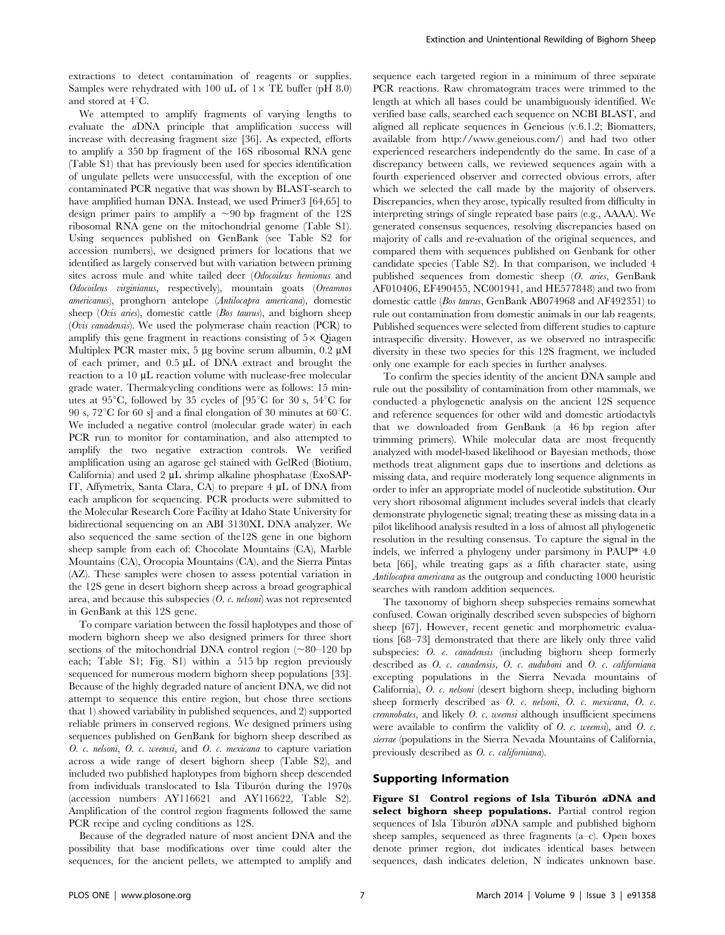extractions to detect contamination of reagents or supplies. Samples were rehydrated with 100 uL of  $1 \times$  TE buffer (pH 8.0) and stored at  $4^{\circ}$ C.

We attempted to amplify fragments of varying lengths to evaluate the aDNA principle that amplification success will increase with decreasing fragment size [36]. As expected, efforts to amplify a 350 bp fragment of the 16S ribosomal RNA gene (Table S1) that has previously been used for species identification of ungulate pellets were unsuccessful, with the exception of one contaminated PCR negative that was shown by BLAST-search to have amplified human DNA. Instead, we used Primer3 [64,65] to design primer pairs to amplify a  $\sim 90$  bp fragment of the 12S ribosomal RNA gene on the mitochondrial genome (Table S1). Using sequences published on GenBank (see Table S2 for accession numbers), we designed primers for locations that we identified as largely conserved but with variation between priming sites across mule and white tailed deer (Odocoileus hemionus and Odocoileus virginianus, respectively), mountain goats (Oreamnos americanus), pronghorn antelope (Antilocapra americana), domestic sheep (Ovis aries), domestic cattle (Bos taurus), and bighorn sheep (Ovis canadensis). We used the polymerase chain reaction (PCR) to amplify this gene fragment in reactions consisting of  $5\times$  Qiagen Multiplex PCR master mix, 5  $\mu$ g bovine serum albumin, 0.2  $\mu$ M of each primer, and  $0.5 \mu L$  of DNA extract and brought the reaction to a 10 µL reaction volume with nuclease-free molecular grade water. Thermalcycling conditions were as follows: 15 minutes at  $95^{\circ}$ C, followed by 35 cycles of [ $95^{\circ}$ C for 30 s,  $54^{\circ}$ C for 90 s,  $72^{\circ}$ C for 60 s] and a final elongation of 30 minutes at 60 $^{\circ}$ C. We included a negative control (molecular grade water) in each PCR run to monitor for contamination, and also attempted to amplify the two negative extraction controls. We verified amplification using an agarose gel stained with GelRed (Biotium, California) and used 2  $\mu$ L shrimp alkaline phosphatase (ExoSAP-IT, Affymetrix, Santa Clara, CA) to prepare 4 µL of DNA from each amplicon for sequencing. PCR products were submitted to the Molecular Research Core Facility at Idaho State University for bidirectional sequencing on an ABI 3130XL DNA analyzer. We also sequenced the same section of the12S gene in one bighorn sheep sample from each of: Chocolate Mountains (CA), Marble Mountains (CA), Orocopia Mountains (CA), and the Sierra Pintas (AZ). These samples were chosen to assess potential variation in the 12S gene in desert bighorn sheep across a broad geographical area, and because this subspecies (O. c. nelsoni) was not represented in GenBank at this 12S gene.

To compare variation between the fossil haplotypes and those of modern bighorn sheep we also designed primers for three short sections of the mitochondrial DNA control region  $(\sim80-120$  bp each; Table S1; Fig. S1) within a 515 bp region previously sequenced for numerous modern bighorn sheep populations [33]. Because of the highly degraded nature of ancient DNA, we did not attempt to sequence this entire region, but chose three sections that 1) showed variability in published sequences, and 2) supported reliable primers in conserved regions. We designed primers using sequences published on GenBank for bighorn sheep described as O. c. nelsoni, O. c. weemsi, and O. c. mexicana to capture variation across a wide range of desert bighorn sheep (Table S2), and included two published haplotypes from bighorn sheep descended from individuals translocated to Isla Tiburón during the 1970s (accession numbers AY116621 and AY116622, Table S2). Amplification of the control region fragments followed the same PCR recipe and cycling conditions as 12S.

Because of the degraded nature of most ancient DNA and the possibility that base modifications over time could alter the sequences, for the ancient pellets, we attempted to amplify and sequence each targeted region in a minimum of three separate PCR reactions. Raw chromatogram traces were trimmed to the length at which all bases could be unambiguously identified. We verified base calls, searched each sequence on NCBI BLAST, and aligned all replicate sequences in Geneious (v.6.1.2; Biomatters, available from [http://www.geneious.com/\)](http://www.geneious.com/) and had two other experienced researchers independently do the same. In case of a discrepancy between calls, we reviewed sequences again with a fourth experienced observer and corrected obvious errors, after which we selected the call made by the majority of observers. Discrepancies, when they arose, typically resulted from difficulty in interpreting strings of single repeated base pairs (e.g., AAAA). We generated consensus sequences, resolving discrepancies based on majority of calls and re-evaluation of the original sequences, and compared them with sequences published on Genbank for other candidate species (Table S2). In that comparison, we included 4 published sequences from domestic sheep (O. aries, GenBank AF010406, EF490455, NC001941, and HE577848) and two from domestic cattle (Bos taurus, GenBank AB074968 and AF492351) to rule out contamination from domestic animals in our lab reagents. Published sequences were selected from different studies to capture intraspecific diversity. However, as we observed no intraspecific diversity in these two species for this 12S fragment, we included only one example for each species in further analyses.

To confirm the species identity of the ancient DNA sample and rule out the possibility of contamination from other mammals, we conducted a phylogenetic analysis on the ancient 12S sequence and reference sequences for other wild and domestic artiodactyls that we downloaded from GenBank (a 46 bp region after trimming primers). While molecular data are most frequently analyzed with model-based likelihood or Bayesian methods, those methods treat alignment gaps due to insertions and deletions as missing data, and require moderately long sequence alignments in order to infer an appropriate model of nucleotide substitution. Our very short ribosomal alignment includes several indels that clearly demonstrate phylogenetic signal; treating these as missing data in a pilot likelihood analysis resulted in a loss of almost all phylogenetic resolution in the resulting consensus. To capture the signal in the indels, we inferred a phylogeny under parsimony in PAUP\* 4.0 beta [66], while treating gaps as a fifth character state, using Antilocapra americana as the outgroup and conducting 1000 heuristic searches with random addition sequences.

The taxonomy of bighorn sheep subspecies remains somewhat confused. Cowan originally described seven subspecies of bighorn sheep [67]. However, recent genetic and morphometric evaluations [68–73] demonstrated that there are likely only three valid subspecies: O. c. canadensis (including bighorn sheep formerly described as O. c. canadensis, O. c. auduboni and O. c. californiana excepting populations in the Sierra Nevada mountains of California), O. c. nelsoni (desert bighorn sheep, including bighorn sheep formerly described as O. c. nelsoni, O. c. mexicana, O. c. cremnobates, and likely O. c. weemsi although insufficient specimens were available to confirm the validity of  $O$ .  $c$ . weemsi, and  $O$ .  $c$ . sierrae (populations in the Sierra Nevada Mountains of California, previously described as  $O. c.$  *californiana*).

# Supporting Information

Figure S1 Control regions of Isla Tiburón aDNA and select bighorn sheep populations. Partial control region sequences of Isla Tiburón aDNA sample and published bighorn sheep samples, sequenced as three fragments (a–c). Open boxes denote primer region, dot indicates identical bases between sequences, dash indicates deletion, N indicates unknown base.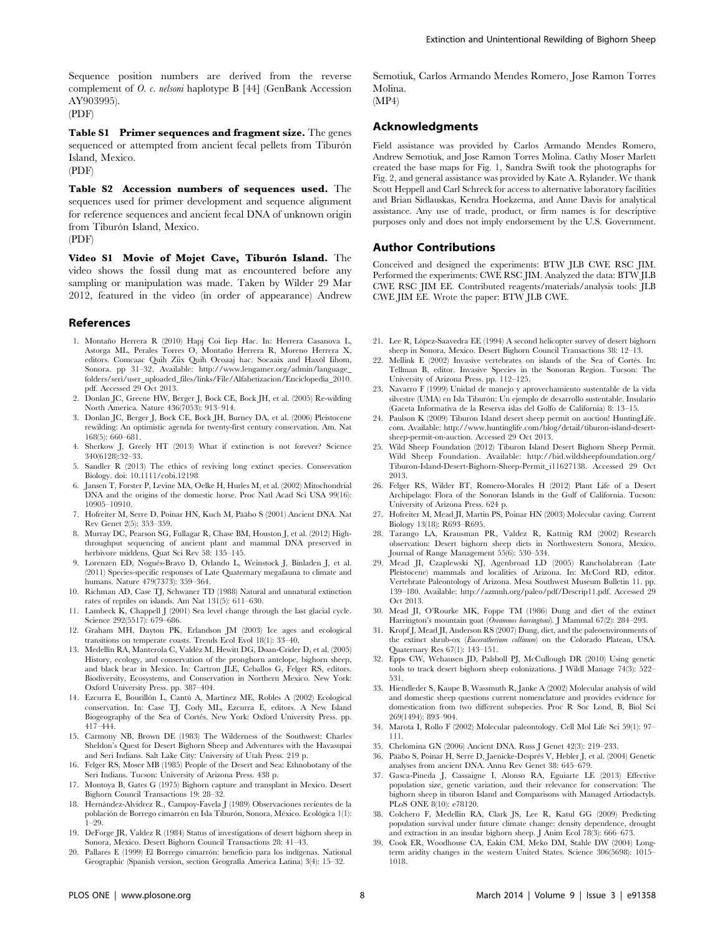Sequence position numbers are derived from the reverse complement of O. c. nelsoni haplotype B [44] (GenBank Accession AY903995).

(PDF)

Table S1 Primer sequences and fragment size. The genes sequenced or attempted from ancient fecal pellets from Tiburón Island, Mexico. (PDF)

Table S2 Accession numbers of sequences used. The sequences used for primer development and sequence alignment for reference sequences and ancient fecal DNA of unknown origin from Tiburón Island, Mexico.

(PDF)

Video S1 Movie of Mojet Cave, Tiburón Island. The video shows the fossil dung mat as encountered before any sampling or manipulation was made. Taken by Wilder 29 Mar 2012, featured in the video (in order of appearance) Andrew

#### References

- 1. Montaño Herrera R (2010) Hapj Coi Iicp Hac. In: Herrera Casanova L, Astorga ML, Perales Torres O, Montaño Herrera R, Moreno Herrera X, editors. Comcaac Quih Ziix Quih Ocoaaj hac. Socaaix and Haxol Iihom, Sonora. pp 31–32. Available: [http://www.lengamer.org/admin/language\\_](http://www.lengamer.org/admin/language_folders/seri/user_uploaded_files/links/File/Alfabetizacion/Enciclopedia_2010.pdf) [folders/seri/user\\_uploaded\\_files/links/File/Alfabetizacion/Enciclopedia\\_2010.](http://www.lengamer.org/admin/language_folders/seri/user_uploaded_files/links/File/Alfabetizacion/Enciclopedia_2010.pdf) [pdf.](http://www.lengamer.org/admin/language_folders/seri/user_uploaded_files/links/File/Alfabetizacion/Enciclopedia_2010.pdf) Accessed 29 Oct 2013.
- 2. Donlan JC, Greene HW, Berger J, Bock CE, Bock JH, et al. (2005) Re-wilding North America. Nature 436(7053): 913–914.
- 3. Donlan JC, Berger J, Bock CE, Bock JH, Burney DA, et al. (2006) Pleistocene rewilding: An optimistic agenda for twenty-first century conservation. Am. Nat 168(5): 660–681.
- 4. Sherkow J, Greely HT (2013) What if extinction is not forever? Science 340(6128):32–33.
- 5. Sandler R (2013) The ethics of reviving long extinct species. Conservation Biology. doi: 10.1111/cobi.12198
- Jansen T, Forster P, Levine MA, Oelke H, Hurles M, et al. (2002) Mitochondrial DNA and the origins of the domestic horse. Proc Natl Acad Sci USA 99(16): 10905–10910.
- 7. Hofreiter M, Serre D, Poinar HN, Kuch M, Pääbo S (2001) Ancient DNA. Nat Rev Genet 2(5): 353–359.
- 8. Murray DC, Pearson SG, Fullagar R, Chase BM, Houston J, et al. (2012) Highthroughput sequencing of ancient plant and mammal DNA preserved in herbivore middens. Quat Sci Rev 58: 135–145.
- 9. Lorenzen ED, Nogués-Bravo D, Orlando L, Weinstock J, Binladen J, et al. (2011) Species-specific responses of Late Quaternary megafauna to climate and humans. Nature 479(7373): 359–364.
- 10. Richman AD, Case TJ, Schwaner TD (1988) Natural and unnatural extinction rates of reptiles on islands. Am Nat 131(5): 611–630.
- 11. Lambeck K, Chappell J (2001) Sea level change through the last glacial cycle. Science 292(5517): 679–686.
- 12. Graham MH, Dayton PK, Erlandson JM (2003) Ice ages and ecological transitions on temperate coasts. Trends Ecol Evol 18(1): 33–40.
- 13. Medellín RA, Manterola C, Valdéz M, Hewitt DG, Doan-Crider D, et al. (2005) History, ecology, and conservation of the pronghorn antelope, bighorn sheep, and black bear in Mexico. In: Cartron JLE, Ceballos G, Felger RS, editors. Biodiversity, Ecosystems, and Conservation in Northern Mexico. New York: Oxford University Press. pp. 387–404.
- 14. Ezcurra E, Bourillón L, Cantú A, Martínez ME, Robles A (2002) Ecological conservation. In: Case TJ, Cody ML, Ezcurra E, editors. A New Island Biogeography of the Sea of Cortés. New York: Oxford University Press. pp. 417–444.
- 15. Carmony NB, Brown DE (1983) The Wilderness of the Southwest: Charles Sheldon's Quest for Desert Bighorn Sheep and Adventures with the Havasupai and Seri Indians. Salt Lake City: University of Utah Press. 219 p.
- 16. Felger RS, Moser MB (1985) People of the Desert and Sea: Ethnobotany of the Seri Indians. Tucson: University of Arizona Press. 438 p.
- 17. Montoya B, Gates G (1975) Bighorn capture and transplant in Mexico. Desert Bighorn Council Transactions 19: 28–32.
- 18. Hernández-Alvídrez R., Campoy-Favela J (1989) Observaciones recientes de la población de Borrego cimarrón en Isla Tiburón, Sonora, México. Ecológica 1(1): 1–29.
- 19. DeForge JR, Valdez R (1984) Status of investigations of desert bighorn sheep in Sonora, Mexico. Desert Bighorn Council Transactions 28: 41–43.
- 20. Pallares E (1999) El Borrego cimarrón: beneficio para los indígenas. National Geographic (Spanish version, section Geografia America Latina) 3(4): 15–32.

Semotiuk, Carlos Armando Mendes Romero, Jose Ramon Torres Molina.

(MP4)

# Acknowledgments

Field assistance was provided by Carlos Armando Mendes Romero, Andrew Semotiuk, and Jose Ramon Torres Molina. Cathy Moser Marlett created the base maps for Fig. 1, Sandra Swift took the photographs for Fig. 2, and general assistance was provided by Kate A. Rylander. We thank Scott Heppell and Carl Schreck for access to alternative laboratory facilities and Brian Sidlauskas, Kendra Hoekzema, and Anne Davis for analytical assistance. Any use of trade, product, or firm names is for descriptive purposes only and does not imply endorsement by the U.S. Government.

# Author Contributions

Conceived and designed the experiments: BTW JLB CWE RSC JIM. Performed the experiments: CWE RSC JIM. Analyzed the data: BTW JLB CWE RSC JIM EE. Contributed reagents/materials/analysis tools: JLB CWE JIM EE. Wrote the paper: BTW JLB CWE.

- 21. Lee R, López-Saavedra EE (1994) A second helicopter survey of desert bighorn sheep in Sonora, Mexico. Desert Bighorn Council Transactions 38: 12–13.
- 22. Mellink E (2002) Invasive vertebrates on islands of the Sea of Cortés. In: Tellman B, editor. Invasive Species in the Sonoran Region. Tucson: The University of Arizona Press. pp. 112–125.
- 23. Navarro F (1999) Unidad de manejo y aprovechamiento sustentable de la vida silvestre (UMA) en Isla Tiburón: Un ejemplo de desarrollo sustentable. Insulario (Gaceta Informativa de la Reserva islas del Golfo de California) 8: 13–15.
- 24. Paulson K (2009) Tiburon Island desert sheep permit on auction! HuntingLife. com. Available: [http://www.huntinglife.com/blog/detail/tiburon-island-desert](http://www.huntinglife.com/blog/detail/tiburon-island-desert-sheep-permit-on-auction)[sheep-permit-on-auction.](http://www.huntinglife.com/blog/detail/tiburon-island-desert-sheep-permit-on-auction) Accessed 29 Oct 2013.
- 25. Wild Sheep Foundation (2012) Tiburon Island Desert Bighorn Sheep Permit. Wild Sheep Foundation. Available: [http://bid.wildsheepfoundation.org/](http://bid.wildsheepfoundation.org/Tiburon-Island-Desert-Bighorn-Sheep-Permit_i11627138) [Tiburon-Island-Desert-Bighorn-Sheep-Permit\\_i11627138.](http://bid.wildsheepfoundation.org/Tiburon-Island-Desert-Bighorn-Sheep-Permit_i11627138) Accessed 29 Oct 2013.
- 26. Felger RS, Wilder BT, Romero-Morales H (2012) Plant Life of a Desert Archipelago: Flora of the Sonoran Islands in the Gulf of California. Tucson: University of Arizona Press. 624 p.
- 27. Hofreiter M, Mead JI, Martin PS, Poinar HN (2003) Molecular caving. Current Biology 13(18): R693–R695.
- 28. Tarango LA, Krausman PR, Valdez R, Kattnig RM (2002) Research observation: Desert bighorn sheep diets in Northwestern Sonora, Mexico. Journal of Range Management 55(6): 530–534.
- 29. Mead JI, Czaplewski NJ, Agenbroad LD (2005) Rancholabrean (Late Pleistocene) mammals and localities of Arizona. In: McCord RD, editor. Vertebrate Paleontology of Arizona. Mesa Southwest Museum Bulletin 11. pp. 139–180. Available: [http://azmnh.org/paleo/pdf/Descrip11.pdf.](http://azmnh.org/paleo/pdf/Descrip11.pdf) Accessed 29 Oct 2013.
- 30. Mead JI, O'Rourke MK, Foppe TM (1986) Dung and diet of the extinct Harrington's mountain goat (Oreamnos harringtoni). J Mammal 67(2): 284–293.
- 31. Kropf J, Mead JI, Anderson RS (2007) Dung, diet, and the paleoenvironments of the extinct shrub-ox (Euceratherium collinum) on the Colorado Plateau, USA. Quaternary Res 67(1): 143–151.
- 32. Epps CW, Wehausen JD, Palsboll PJ, McCullough DR (2010) Using genetic tools to track desert bighorn sheep colonizations. J Wildl Manage 74(3): 522– 531.
- 33. Hiendleder S, Kaupe B, Wassmuth R, Janke A (2002) Molecular analysis of wild and domestic sheep questions current nomenclature and provides evidence for domestication from two different subspecies. Proc R Soc Lond, B, Biol Sci 269(1494): 893–904.
- 34. Marota I, Rollo F (2002) Molecular paleontology. Cell Mol Life Sci 59(1): 97– 111.
- 35. Chelomina GN (2006) Ancient DNA. Russ J Genet 42(3): 219–233.
- 36. Pääbo S, Poinar H, Serre D, Jaenicke-Després V, Hebler J, et al. (2004) Genetic analyses from ancient DNA. Annu Rev Genet 38: 645–679.
- 37. Gasca-Pineda J, Cassaigne I, Alonso RA, Eguiarte LE (2013) Effective population size, genetic variation, and their relevance for conservation: The bighorn sheep in tiburon Island and Comparisons with Managed Artiodactyls. PLoS ONE 8(10): e78120.
- 38. Colchero F, Medellín RA, Clark JS, Lee R, Katul GG (2009) Predicting population survival under future climate change: density dependence, drought and extraction in an insular bighorn sheep. J Anim Ecol 78(3): 666–673.
- 39. Cook ER, Woodhouse CA, Eakin CM, Meko DM, Stahle DW (2004) Longterm aridity changes in the western United States. Science 306(5698): 1015– 1018.